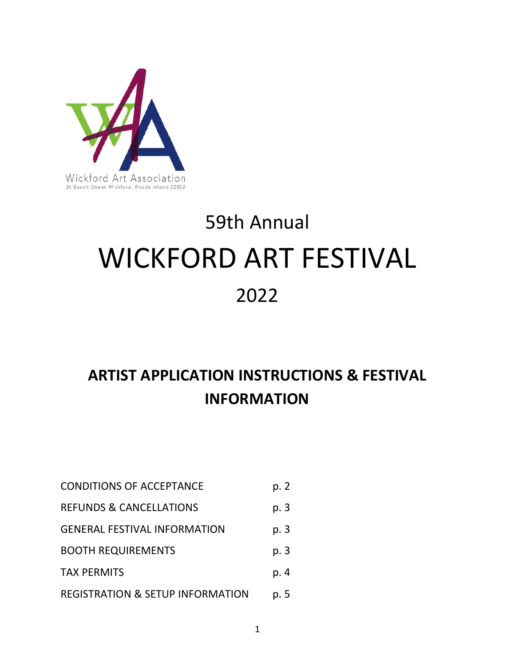

# 59th Annual WICKFORD ART FESTIVAL 2022

# **ARTIST APPLICATION INSTRUCTIONS & FESTIVAL INFORMATION**

| <b>CONDITIONS OF ACCEPTANCE</b>             | p. 2 |
|---------------------------------------------|------|
| <b>REFUNDS &amp; CANCELLATIONS</b>          | p. 3 |
| <b>GENERAL FESTIVAL INFORMATION</b>         | p. 3 |
| <b>BOOTH REQUIREMENTS</b>                   | p. 3 |
| <b>TAX PERMITS</b>                          | p. 4 |
| <b>REGISTRATION &amp; SETUP INFORMATION</b> | p. 5 |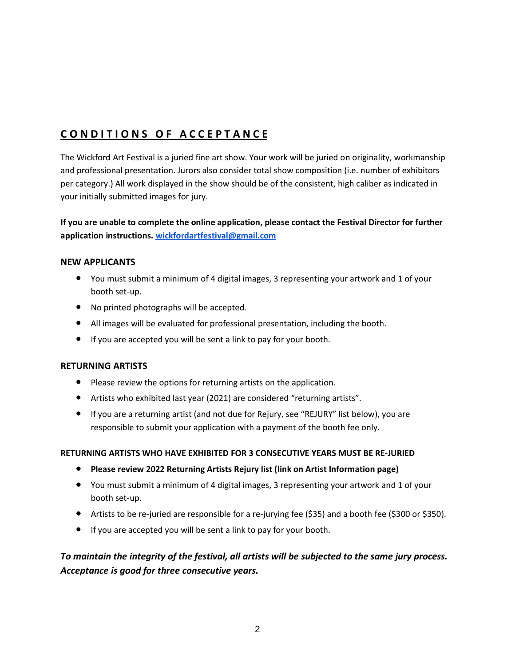# **C O N D I T I O N S O F A C C E P T A N C E**

The Wickford Art Festival is a juried fine art show. Your work will be juried on originality, workmanship and professional presentation. Jurors also consider total show composition (i.e. number of exhibitors per category.) All work displayed in the show should be of the consistent, high caliber as indicated in your initially submitted images for jury.

#### **If you are unable to complete the online application, please contact the Festival Director for further application instructions. [wickfordartfestival@gmail.com](mailto:wickfordartfestival@gmail.com)**

#### **NEW APPLICANTS**

- You must submit a minimum of 4 digital images, 3 representing your artwork and 1 of your booth set-up.
- No printed photographs will be accepted.
- All images will be evaluated for professional presentation, including the booth.
- If you are accepted you will be sent a link to pay for your booth.

#### **RETURNING ARTISTS**

- Please review the options for returning artists on the application.
- Artists who exhibited last year (2021) are considered "returning artists".
- If you are a returning artist (and not due for Rejury, see "REJURY" list below), you are responsible to submit your application with a payment of the booth fee only.

#### **RETURNING ARTISTS WHO HAVE EXHIBITED FOR 3 CONSECUTIVE YEARS MUST BE RE-JURIED**

- **Please review 2022 Returning Artists Rejury list (link on Artist Information page)**
- You must submit a minimum of 4 digital images, 3 representing your artwork and 1 of your booth set-up.
- Artists to be re-juried are responsible for a re-jurying fee (\$35) and a booth fee (\$300 or \$350).
- If you are accepted you will be sent a link to pay for your booth.

#### *To maintain the integrity of the festival, all artists will be subjected to the same jury process. Acceptance is good for three consecutive years.*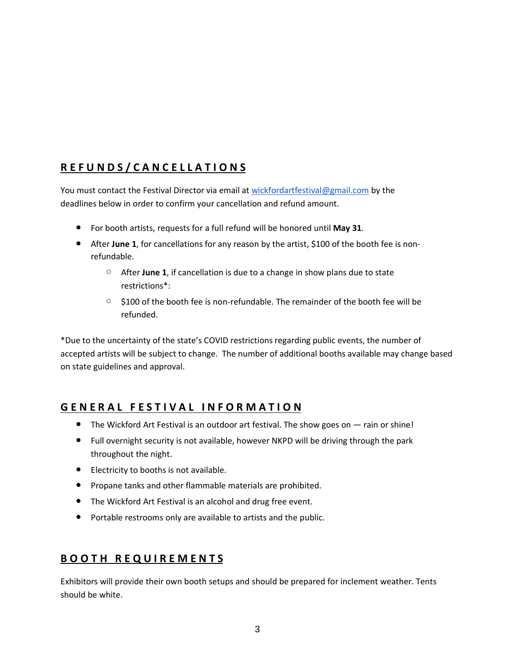# **R E F U N D S / C A N C E L L A T I O N S**

You must contact the Festival Director via email at [wickfordartfestival@gmail.com](mailto:wickfordartfestival@gmail.com) by the deadlines below in order to confirm your cancellation and refund amount.

- For booth artists, requests for a full refund will be honored until **May 31**.
- After June 1, for cancellations for any reason by the artist, \$100 of the booth fee is nonrefundable.
	- After **June 1**, if cancellation is due to a change in show plans due to state restrictions\*:
	- $\circ$  \$100 of the booth fee is non-refundable. The remainder of the booth fee will be refunded.

\*Due to the uncertainty of the state's COVID restrictions regarding public events, the number of accepted artists will be subject to change. The number of additional booths available may change based on state guidelines and approval.

## **G E N E R A L F E S T I V A L I N F O R M A T I O N**

- The Wickford Art Festival is an outdoor art festival. The show goes on rain or shine!
- Full overnight security is not available, however NKPD will be driving through the park throughout the night.
- Electricity to booths is not available.
- Propane tanks and other flammable materials are prohibited.
- The Wickford Art Festival is an alcohol and drug free event.
- Portable restrooms only are available to artists and the public.

# **B O O T H R E Q U I R E M E N T S**

Exhibitors will provide their own booth setups and should be prepared for inclement weather. Tents should be white.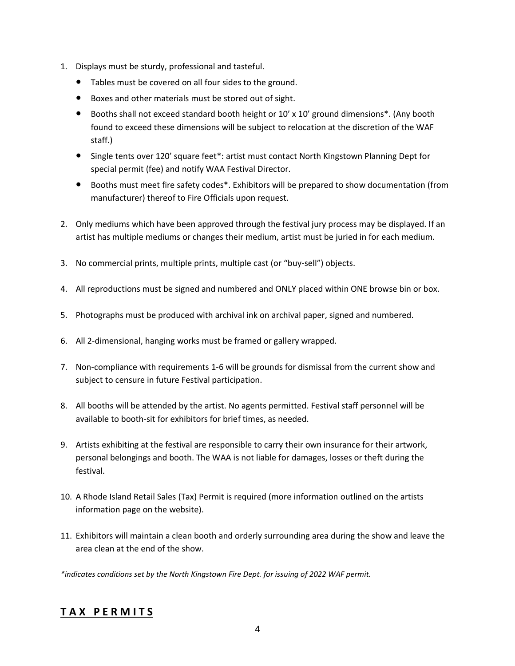- 1. Displays must be sturdy, professional and tasteful.
	- Tables must be covered on all four sides to the ground.
	- Boxes and other materials must be stored out of sight.
	- Booths shall not exceed standard booth height or 10' x 10' ground dimensions\*. (Any booth found to exceed these dimensions will be subject to relocation at the discretion of the WAF staff.)
	- Single tents over 120' square feet\*: artist must contact North Kingstown Planning Dept for special permit (fee) and notify WAA Festival Director.
	- Booths must meet fire safety codes\*. Exhibitors will be prepared to show documentation (from manufacturer) thereof to Fire Officials upon request.
- 2. Only mediums which have been approved through the festival jury process may be displayed. If an artist has multiple mediums or changes their medium, artist must be juried in for each medium.
- 3. No commercial prints, multiple prints, multiple cast (or "buy-sell") objects.
- 4. All reproductions must be signed and numbered and ONLY placed within ONE browse bin or box.
- 5. Photographs must be produced with archival ink on archival paper, signed and numbered.
- 6. All 2-dimensional, hanging works must be framed or gallery wrapped.
- 7. Non-compliance with requirements 1-6 will be grounds for dismissal from the current show and subject to censure in future Festival participation.
- 8. All booths will be attended by the artist. No agents permitted. Festival staff personnel will be available to booth-sit for exhibitors for brief times, as needed.
- 9. Artists exhibiting at the festival are responsible to carry their own insurance for their artwork, personal belongings and booth. The WAA is not liable for damages, losses or theft during the festival.
- 10. A Rhode Island Retail Sales (Tax) Permit is required (more information outlined on the artists information page on the website).
- 11. Exhibitors will maintain a clean booth and orderly surrounding area during the show and leave the area clean at the end of the show.

*\*indicates conditions set by the North Kingstown Fire Dept. for issuing of 2022 WAF permit.*

## **T A X P E R M I T S**